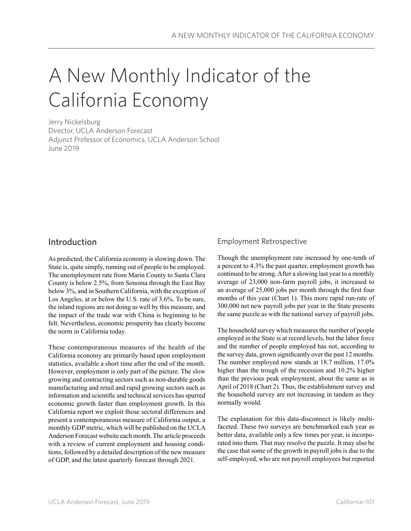# A New Monthly Indicator of the California Economy

Jerry Nickelsburg Director, UCLA Anderson Forecast Adjunct Professor of Economics, UCLA Anderson School June 2019

# Introduction

As predicted, the California economy is slowing down. The State is, quite simply, running out of people to be employed. The unemployment rate from Marin County to Santa Clara County is below 2.5%, from Sonoma through the East Bay below 3%, and in Southern California, with the exception of Los Angeles, at or below the U.S. rate of 3.6%. To be sure, the inland regions are not doing as well by this measure, and the impact of the trade war with China is beginning to be felt. Nevertheless, economic prosperity has clearly become the norm in California today.

These contemporaneous measures of the health of the California economy are primarily based upon employment statistics, available a short time after the end of the month. However, employment is only part of the picture. The slow growing and contracting sectors such as non-durable goods manufacturing and retail and rapid growing sectors such as information and scientific and technical services has spurred economic growth faster than employment growth. In this California report we exploit those sectoral differences and present a contemporaneous measure of California output, a monthly GDP metric, which will be published on the UCLA Anderson Forecast website each month. The article proceeds with a review of current employment and housing conditions, followed by a detailed description of the new measure of GDP, and the latest quarterly forecast through 2021.

## Employment Retrospective

Though the unemployment rate increased by one-tenth of a percent to 4.3% the past quarter, employment growth has continued to be strong. After a slowing last year to a monthly average of 23,000 non-farm payroll jobs, it increased to an average of 25,000 jobs per month through the first four months of this year (Chart 1). This more rapid run-rate of 300,000 net new payroll jobs per year in the State presents the same puzzle as with the national survey of payroll jobs.

The household survey which measures the number of people employed in the State is at record levels, but the labor force and the number of people employed has not, according to the survey data, grown significantly over the past 12 months. The number employed now stands at 18.7 million, 17.0% higher than the trough of the recession and 10.2% higher than the previous peak employment, about the same as in April of 2018 (Chart 2). Thus, the establishment survey and the household survey are not increasing in tandem as they normally would.

The explanation for this data-disconnect is likely multifaceted. These two surveys are benchmarked each year as better data, available only a few times per year, is incorporated into them. That may resolve the puzzle. It may also be the case that some of the growth in payroll jobs is due to the self-employed, who are not payroll employees but reported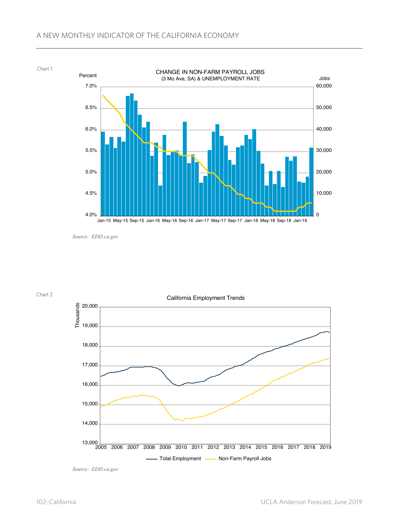### A NEW MONTHLY INDICATOR OF THE CALIFORNIA ECONOMY



*Source: EDD.ca.gov*

Chart 2



*Source: EDD.ca.gov*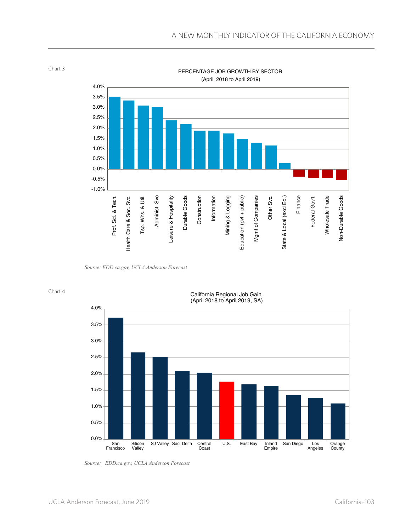

Chart 3

*Source: EDD.ca.gov, UCLA Anderson Forecast*



#### California Regional Job Gain (April 2018 to April 2019, SA)



*Source: EDD.ca.gov, UCLA Anderson Forecast*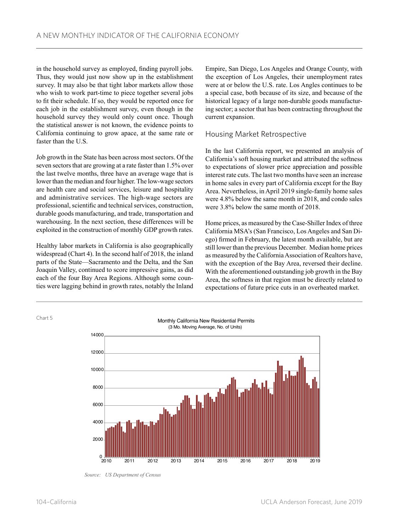in the household survey as employed, finding payroll jobs. Thus, they would just now show up in the establishment survey. It may also be that tight labor markets allow those who wish to work part-time to piece together several jobs to fit their schedule. If so, they would be reported once for each job in the establishment survey, even though in the household survey they would only count once. Though the statistical answer is not known, the evidence points to California continuing to grow apace, at the same rate or faster than the U.S.

Job growth in the State has been across most sectors. Of the seven sectors that are growing at a rate faster than 1.5% over the last twelve months, three have an average wage that is lower than the median and four higher. The low-wage sectors are health care and social services, leisure and hospitality and administrative services. The high-wage sectors are professional, scientific and technical services, construction, durable goods manufacturing, and trade, transportation and warehousing. In the next section, these differences will be exploited in the construction of monthly GDP growth rates.

Healthy labor markets in California is also geographically widespread (Chart 4). In the second half of 2018, the inland parts of the State—Sacramento and the Delta, and the San Joaquin Valley, continued to score impressive gains, as did each of the four Bay Area Regions. Although some counties were lagging behind in growth rates, notably the Inland Empire, San Diego, Los Angeles and Orange County, with the exception of Los Angeles, their unemployment rates were at or below the U.S. rate. Los Angles continues to be a special case, both because of its size, and because of the historical legacy of a large non-durable goods manufacturing sector; a sector that has been contracting throughout the current expansion.

## Housing Market Retrospective

In the last California report, we presented an analysis of California's soft housing market and attributed the softness to expectations of slower price appreciation and possible interest rate cuts. The last two months have seen an increase in home sales in every part of California except for the Bay Area. Nevertheless, in April 2019 single-family home sales were 4.8% below the same month in 2018, and condo sales were 3.8% below the same month of 2018.

Home prices, as measured by the Case-Shiller Index of three California MSA's (San Francisco, Los Angeles and San Diego) firmed in February, the latest month available, but are still lower than the previous December. Median home prices as measured by the California Association of Realtors have, with the exception of the Bay Area, reversed their decline. With the aforementioned outstanding job growth in the Bay Area, the softness in that region must be directly related to expectations of future price cuts in an overheated market.



*Source: US Department of Census*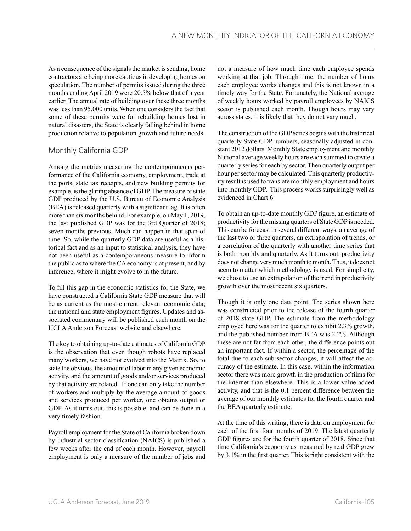As a consequence of the signals the market is sending, home contractors are being more cautious in developing homes on speculation. The number of permits issued during the three months ending April 2019 were 20.5% below that of a year earlier. The annual rate of building over these three months was less than 95,000 units. When one considers the fact that some of these permits were for rebuilding homes lost in natural disasters, the State is clearly falling behind in home production relative to population growth and future needs.

## Monthly California GDP

Among the metrics measuring the contemporaneous performance of the California economy, employment, trade at the ports, state tax receipts, and new building permits for example, is the glaring absence of GDP. The measure of state GDP produced by the U.S. Bureau of Economic Analysis (BEA) is released quarterly with a significant lag. It is often more than six months behind. For example, on May 1, 2019, the last published GDP was for the 3rd Quarter of 2018; seven months previous. Much can happen in that span of time. So, while the quarterly GDP data are useful as a historical fact and as an input to statistical analysis, they have not been useful as a contemporaneous measure to inform the public as to where the CA economy is at present, and by inference, where it might evolve to in the future.

To fill this gap in the economic statistics for the State, we have constructed a California State GDP measure that will be as current as the most current relevant economic data; the national and state employment figures. Updates and associated commentary will be published each month on the UCLA Anderson Forecast website and elsewhere.

The key to obtaining up-to-date estimates of California GDP is the observation that even though robots have replaced many workers, we have not evolved into the Matrix. So, to state the obvious, the amount of labor in any given economic activity, and the amount of goods and/or services produced by that activity are related. If one can only take the number of workers and multiply by the average amount of goods and services produced per worker, one obtains output or GDP. As it turns out, this is possible, and can be done in a very timely fashion.

Payroll employment for the State of California broken down by industrial sector classification (NAICS) is published a few weeks after the end of each month. However, payroll employment is only a measure of the number of jobs and not a measure of how much time each employee spends working at that job. Through time, the number of hours each employee works changes and this is not known in a timely way for the State. Fortunately, the National average of weekly hours worked by payroll employees by NAICS sector is published each month. Though hours may vary across states, it is likely that they do not vary much.

The construction of the GDP series begins with the historical quarterly State GDP numbers, seasonally adjusted in constant 2012 dollars. Monthly State employment and monthly National average weekly hours are each summed to create a quarterly series for each by sector. Then quarterly output per hour per sector may be calculated. This quarterly productivity result is used to translate monthly employment and hours into monthly GDP. This process works surprisingly well as evidenced in Chart 6.

To obtain an up-to-date monthly GDP figure, an estimate of productivity for the missing quarters of State GDP is needed. This can be forecast in several different ways; an average of the last two or three quarters, an extrapolation of trends, or a correlation of the quarterly with another time series that is both monthly and quarterly. As it turns out, productivity does not change very much month to month. Thus, it does not seem to matter which methodology is used. For simplicity, we chose to use an extrapolation of the trend in productivity growth over the most recent six quarters.

Though it is only one data point. The series shown here was constructed prior to the release of the fourth quarter of 2018 state GDP. The estimate from the methodology employed here was for the quarter to exhibit 2.3% growth, and the published number from BEA was 2.2%. Although these are not far from each other, the difference points out an important fact. If within a sector, the percentage of the total due to each sub-sector changes, it will affect the accuracy of the estimate. In this case, within the information sector there was more growth in the production of films for the internet than elsewhere. This is a lower value-added activity, and that is the 0.1 percent difference between the average of our monthly estimates for the fourth quarter and the BEA quarterly estimate.

At the time of this writing, there is data on employment for each of the first four months of 2019. The latest quarterly GDP figures are for the fourth quarter of 2018. Since that time California's economy as measured by real GDP grew by 3.1% in the first quarter. This is right consistent with the